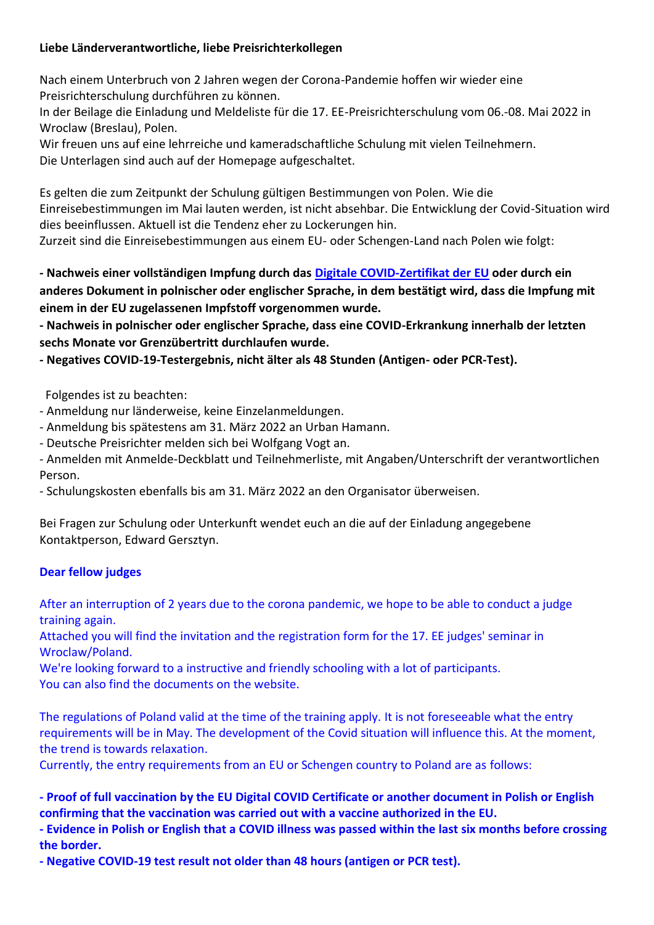## **Liebe Länderverantwortliche, liebe Preisrichterkollegen**

Nach einem Unterbruch von 2 Jahren wegen der Corona-Pandemie hoffen wir wieder eine Preisrichterschulung durchführen zu können.

In der Beilage die Einladung und Meldeliste für die 17. EE-Preisrichterschulung vom 06.-08. Mai 2022 in Wroclaw (Breslau), Polen.

Wir freuen uns auf eine lehrreiche und kameradschaftliche Schulung mit vielen Teilnehmern. Die Unterlagen sind auch auf der Homepage aufgeschaltet.

Es gelten die zum Zeitpunkt der Schulung gültigen Bestimmungen von Polen. Wie die Einreisebestimmungen im Mai lauten werden, ist nicht absehbar. Die Entwicklung der Covid-Situation wird dies beeinflussen. Aktuell ist die Tendenz eher zu Lockerungen hin.

Zurzeit sind die Einreisebestimmungen aus einem EU- oder Schengen-Land nach Polen wie folgt:

**- Nachweis einer vollständigen Impfung durch das Digitale [COVID-Zertifikat der EU](https://ec.europa.eu/info/live-work-travel-eu/coronavirus-response/safe-covid-19-vaccines-europeans/eu-digital-covid-certificate_en) oder durch ein anderes Dokument in polnischer oder englischer Sprache, in dem bestätigt wird, dass die Impfung mit einem in der EU zugelassenen Impfstoff vorgenommen wurde.**

**- Nachweis in polnischer oder englischer Sprache, dass eine COVID-Erkrankung innerhalb der letzten sechs Monate vor Grenzübertritt durchlaufen wurde.**

**- Negatives COVID-19-Testergebnis, nicht älter als 48 Stunden (Antigen- oder PCR-Test).**

Folgendes ist zu beachten:

- Anmeldung nur länderweise, keine Einzelanmeldungen.
- Anmeldung bis spätestens am 31. März 2022 an Urban Hamann.
- Deutsche Preisrichter melden sich bei Wolfgang Vogt an.

- Anmelden mit Anmelde-Deckblatt und Teilnehmerliste, mit Angaben/Unterschrift der verantwortlichen Person.

- Schulungskosten ebenfalls bis am 31. März 2022 an den Organisator überweisen.

Bei Fragen zur Schulung oder Unterkunft wendet euch an die auf der Einladung angegebene Kontaktperson, Edward Gersztyn.

## **Dear fellow judges**

After an interruption of 2 years due to the corona pandemic, we hope to be able to conduct a judge training again.

Attached you will find the invitation and the registration form for the 17. EE judges' seminar in Wroclaw/Poland.

We're looking forward to a instructive and friendly schooling with a lot of participants. You can also find the documents on the website.

The regulations of Poland valid at the time of the training apply. It is not foreseeable what the entry requirements will be in May. The development of the Covid situation will influence this. At the moment, the trend is towards relaxation.

Currently, the entry requirements from an EU or Schengen country to Poland are as follows:

**- Proof of full vaccination by the EU Digital COVID Certificate or another document in Polish or English confirming that the vaccination was carried out with a vaccine authorized in the EU.** 

**- Evidence in Polish or English that a COVID illness was passed within the last six months before crossing the border.** 

**- Negative COVID-19 test result not older than 48 hours (antigen or PCR test).**